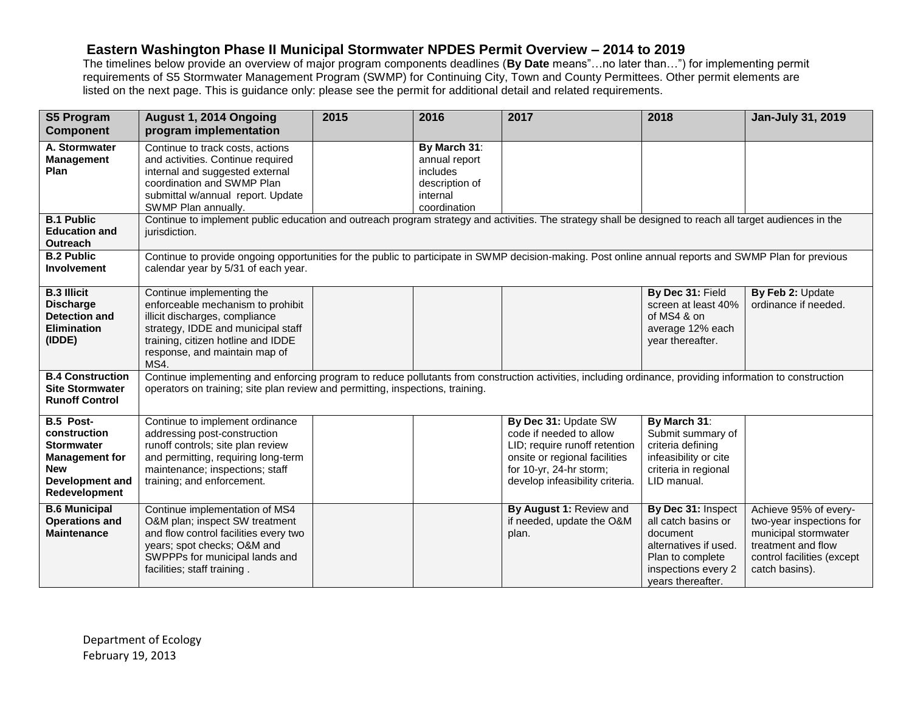## **Eastern Washington Phase II Municipal Stormwater NPDES Permit Overview – 2014 to 2019**

The timelines below provide an overview of major program components deadlines (**By Date** means"…no later than…") for implementing permit requirements of S5 Stormwater Management Program (SWMP) for Continuing City, Town and County Permittees. Other permit elements are listed on the next page. This is guidance only: please see the permit for additional detail and related requirements.

| <b>S5 Program</b>                                            | August 1, 2014 Ongoing                                                                                                                                                                                                                      | 2015 | 2016            | 2017                            | 2018                  | Jan-July 31, 2019          |
|--------------------------------------------------------------|---------------------------------------------------------------------------------------------------------------------------------------------------------------------------------------------------------------------------------------------|------|-----------------|---------------------------------|-----------------------|----------------------------|
| <b>Component</b>                                             | program implementation                                                                                                                                                                                                                      |      |                 |                                 |                       |                            |
| A. Stormwater                                                | Continue to track costs, actions                                                                                                                                                                                                            |      | By March 31:    |                                 |                       |                            |
| <b>Management</b>                                            | and activities. Continue required                                                                                                                                                                                                           |      | annual report   |                                 |                       |                            |
| <b>Plan</b>                                                  | internal and suggested external                                                                                                                                                                                                             |      | <i>includes</i> |                                 |                       |                            |
|                                                              | coordination and SWMP Plan                                                                                                                                                                                                                  |      | description of  |                                 |                       |                            |
|                                                              | submittal w/annual report. Update                                                                                                                                                                                                           |      | internal        |                                 |                       |                            |
|                                                              | SWMP Plan annually.                                                                                                                                                                                                                         |      | coordination    |                                 |                       |                            |
| <b>B.1 Public</b><br><b>Education and</b><br><b>Outreach</b> | Continue to implement public education and outreach program strategy and activities. The strategy shall be designed to reach all target audiences in the<br>jurisdiction.                                                                   |      |                 |                                 |                       |                            |
| <b>B.2 Public</b>                                            |                                                                                                                                                                                                                                             |      |                 |                                 |                       |                            |
| <b>Involvement</b>                                           | Continue to provide ongoing opportunities for the public to participate in SWMP decision-making. Post online annual reports and SWMP Plan for previous<br>calendar year by 5/31 of each year.                                               |      |                 |                                 |                       |                            |
|                                                              |                                                                                                                                                                                                                                             |      |                 |                                 |                       |                            |
| <b>B.3 Illicit</b>                                           | Continue implementing the                                                                                                                                                                                                                   |      |                 |                                 | By Dec 31: Field      | By Feb 2: Update           |
| <b>Discharge</b>                                             | enforceable mechanism to prohibit                                                                                                                                                                                                           |      |                 |                                 | screen at least 40%   | ordinance if needed.       |
| <b>Detection and</b>                                         | illicit discharges, compliance                                                                                                                                                                                                              |      |                 |                                 | of MS4 & on           |                            |
| <b>Elimination</b>                                           | strategy, IDDE and municipal staff                                                                                                                                                                                                          |      |                 |                                 | average 12% each      |                            |
| (IDDE)                                                       | training, citizen hotline and IDDE                                                                                                                                                                                                          |      |                 |                                 | year thereafter.      |                            |
|                                                              | response, and maintain map of                                                                                                                                                                                                               |      |                 |                                 |                       |                            |
| <b>B.4 Construction</b>                                      | MS4.                                                                                                                                                                                                                                        |      |                 |                                 |                       |                            |
| <b>Site Stormwater</b>                                       | Continue implementing and enforcing program to reduce pollutants from construction activities, including ordinance, providing information to construction<br>operators on training; site plan review and permitting, inspections, training. |      |                 |                                 |                       |                            |
| <b>Runoff Control</b>                                        |                                                                                                                                                                                                                                             |      |                 |                                 |                       |                            |
|                                                              |                                                                                                                                                                                                                                             |      |                 |                                 |                       |                            |
| B.5 Post-                                                    | Continue to implement ordinance                                                                                                                                                                                                             |      |                 | By Dec 31: Update SW            | By March 31:          |                            |
| construction                                                 | addressing post-construction                                                                                                                                                                                                                |      |                 | code if needed to allow         | Submit summary of     |                            |
| <b>Stormwater</b>                                            | runoff controls; site plan review                                                                                                                                                                                                           |      |                 | LID; require runoff retention   | criteria defining     |                            |
| <b>Management for</b>                                        | and permitting, requiring long-term                                                                                                                                                                                                         |      |                 | onsite or regional facilities   | infeasibility or cite |                            |
| <b>New</b>                                                   | maintenance; inspections; staff                                                                                                                                                                                                             |      |                 | for 10-yr, 24-hr storm;         | criteria in regional  |                            |
| Development and                                              | training; and enforcement.                                                                                                                                                                                                                  |      |                 | develop infeasibility criteria. | LID manual.           |                            |
| Redevelopment                                                |                                                                                                                                                                                                                                             |      |                 |                                 |                       |                            |
| <b>B.6 Municipal</b>                                         | Continue implementation of MS4                                                                                                                                                                                                              |      |                 | By August 1: Review and         | By Dec 31: Inspect    | Achieve 95% of every-      |
| <b>Operations and</b>                                        | O&M plan; inspect SW treatment                                                                                                                                                                                                              |      |                 | if needed, update the O&M       | all catch basins or   | two-year inspections for   |
| <b>Maintenance</b>                                           | and flow control facilities every two                                                                                                                                                                                                       |      |                 | plan.                           | document              | municipal stormwater       |
|                                                              | years; spot checks; O&M and                                                                                                                                                                                                                 |      |                 |                                 | alternatives if used. | treatment and flow         |
|                                                              | SWPPPs for municipal lands and                                                                                                                                                                                                              |      |                 |                                 | Plan to complete      | control facilities (except |
|                                                              | facilities; staff training.                                                                                                                                                                                                                 |      |                 |                                 | inspections every 2   | catch basins).             |
|                                                              |                                                                                                                                                                                                                                             |      |                 |                                 | years thereafter.     |                            |